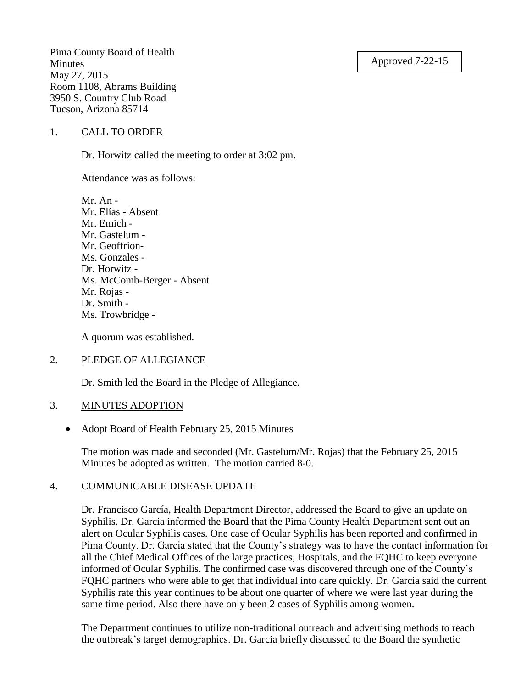#### Approved 7-22-15

Pima County Board of Health Minutes May 27, 2015 Room 1108, Abrams Building 3950 S. Country Club Road Tucson, Arizona 85714

#### 1. CALL TO ORDER

Dr. Horwitz called the meeting to order at 3:02 pm.

Attendance was as follows:

Mr. An - Mr. Elías - Absent Mr. Emich - Mr. Gastelum - Mr. Geoffrion-Ms. Gonzales - Dr. Horwitz - Ms. McComb-Berger - Absent Mr. Rojas - Dr. Smith - Ms. Trowbridge -

A quorum was established.

## 2. PLEDGE OF ALLEGIANCE

Dr. Smith led the Board in the Pledge of Allegiance.

## 3. MINUTES ADOPTION

• Adopt Board of Health February 25, 2015 Minutes

The motion was made and seconded (Mr. Gastelum/Mr. Rojas) that the February 25, 2015 Minutes be adopted as written. The motion carried 8-0.

#### 4. COMMUNICABLE DISEASE UPDATE

Dr. Francisco García, Health Department Director, addressed the Board to give an update on Syphilis. Dr. Garcia informed the Board that the Pima County Health Department sent out an alert on Ocular Syphilis cases. One case of Ocular Syphilis has been reported and confirmed in Pima County. Dr. Garcia stated that the County's strategy was to have the contact information for all the Chief Medical Offices of the large practices, Hospitals, and the FQHC to keep everyone informed of Ocular Syphilis. The confirmed case was discovered through one of the County's FQHC partners who were able to get that individual into care quickly. Dr. Garcia said the current Syphilis rate this year continues to be about one quarter of where we were last year during the same time period. Also there have only been 2 cases of Syphilis among women.

The Department continues to utilize non-traditional outreach and advertising methods to reach the outbreak's target demographics. Dr. Garcia briefly discussed to the Board the synthetic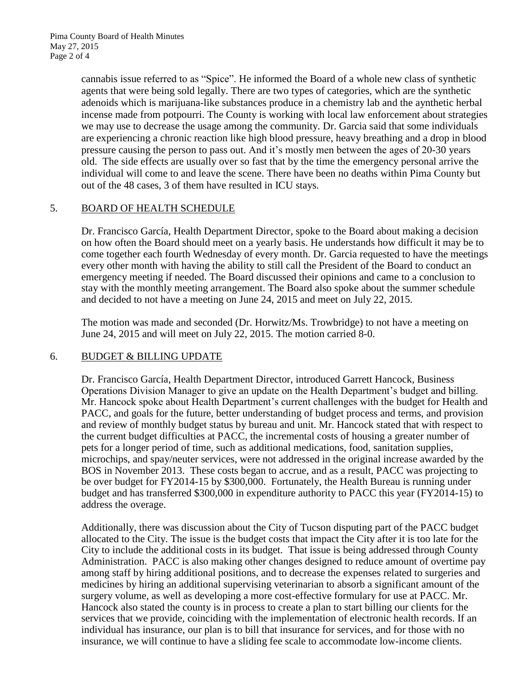cannabis issue referred to as "Spice". He informed the Board of a whole new class of synthetic agents that were being sold legally. There are two types of categories, which are the synthetic adenoids which is marijuana-like substances produce in a chemistry lab and the aynthetic herbal incense made from potpourri. The County is working with local law enforcement about strategies we may use to decrease the usage among the community. Dr. Garcia said that some individuals are experiencing a chronic reaction like high blood pressure, heavy breathing and a drop in blood pressure causing the person to pass out. And it's mostly men between the ages of 20-30 years old. The side effects are usually over so fast that by the time the emergency personal arrive the individual will come to and leave the scene. There have been no deaths within Pima County but out of the 48 cases, 3 of them have resulted in ICU stays.

# 5. BOARD OF HEALTH SCHEDULE

Dr. Francisco García, Health Department Director, spoke to the Board about making a decision on how often the Board should meet on a yearly basis. He understands how difficult it may be to come together each fourth Wednesday of every month. Dr. Garcia requested to have the meetings every other month with having the ability to still call the President of the Board to conduct an emergency meeting if needed. The Board discussed their opinions and came to a conclusion to stay with the monthly meeting arrangement. The Board also spoke about the summer schedule and decided to not have a meeting on June 24, 2015 and meet on July 22, 2015.

The motion was made and seconded (Dr. Horwitz/Ms. Trowbridge) to not have a meeting on June 24, 2015 and will meet on July 22, 2015. The motion carried 8-0.

## 6. BUDGET & BILLING UPDATE

Dr. Francisco García, Health Department Director, introduced Garrett Hancock, Business Operations Division Manager to give an update on the Health Department's budget and billing. Mr. Hancock spoke about Health Department's current challenges with the budget for Health and PACC, and goals for the future, better understanding of budget process and terms, and provision and review of monthly budget status by bureau and unit. Mr. Hancock stated that with respect to the current budget difficulties at PACC, the incremental costs of housing a greater number of pets for a longer period of time, such as additional medications, food, sanitation supplies, microchips, and spay/neuter services, were not addressed in the original increase awarded by the BOS in November 2013. These costs began to accrue, and as a result, PACC was projecting to be over budget for FY2014-15 by \$300,000. Fortunately, the Health Bureau is running under budget and has transferred \$300,000 in expenditure authority to PACC this year (FY2014-15) to address the overage.

Additionally, there was discussion about the City of Tucson disputing part of the PACC budget allocated to the City. The issue is the budget costs that impact the City after it is too late for the City to include the additional costs in its budget. That issue is being addressed through County Administration. PACC is also making other changes designed to reduce amount of overtime pay among staff by hiring additional positions, and to decrease the expenses related to surgeries and medicines by hiring an additional supervising veterinarian to absorb a significant amount of the surgery volume, as well as developing a more cost-effective formulary for use at PACC. Mr. Hancock also stated the county is in process to create a plan to start billing our clients for the services that we provide, coinciding with the implementation of electronic health records. If an individual has insurance, our plan is to bill that insurance for services, and for those with no insurance, we will continue to have a sliding fee scale to accommodate low-income clients.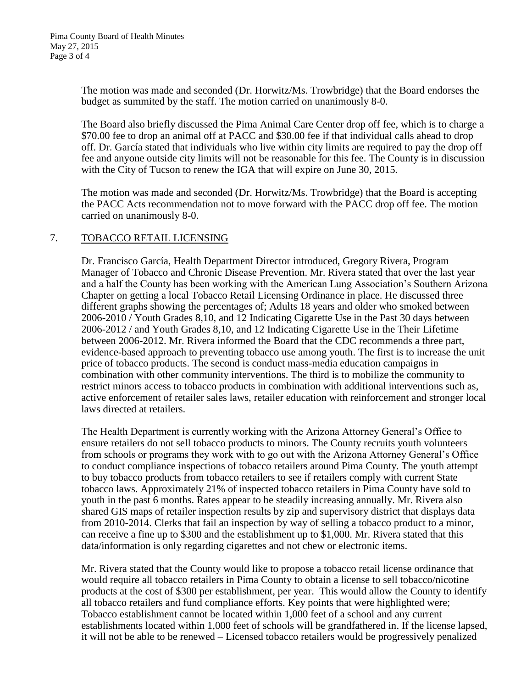The motion was made and seconded (Dr. Horwitz/Ms. Trowbridge) that the Board endorses the budget as summited by the staff. The motion carried on unanimously 8-0.

The Board also briefly discussed the Pima Animal Care Center drop off fee, which is to charge a \$70.00 fee to drop an animal off at PACC and \$30.00 fee if that individual calls ahead to drop off. Dr. García stated that individuals who live within city limits are required to pay the drop off fee and anyone outside city limits will not be reasonable for this fee. The County is in discussion with the City of Tucson to renew the IGA that will expire on June 30, 2015.

The motion was made and seconded (Dr. Horwitz/Ms. Trowbridge) that the Board is accepting the PACC Acts recommendation not to move forward with the PACC drop off fee. The motion carried on unanimously 8-0.

## 7. TOBACCO RETAIL LICENSING

Dr. Francisco García, Health Department Director introduced, Gregory Rivera, Program Manager of Tobacco and Chronic Disease Prevention. Mr. Rivera stated that over the last year and a half the County has been working with the American Lung Association's Southern Arizona Chapter on getting a local Tobacco Retail Licensing Ordinance in place. He discussed three different graphs showing the percentages of; Adults 18 years and older who smoked between 2006-2010 / Youth Grades 8,10, and 12 Indicating Cigarette Use in the Past 30 days between 2006-2012 / and Youth Grades 8,10, and 12 Indicating Cigarette Use in the Their Lifetime between 2006-2012. Mr. Rivera informed the Board that the CDC recommends a three part, evidence-based approach to preventing tobacco use among youth. The first is to increase the unit price of tobacco products. The second is conduct mass-media education campaigns in combination with other community interventions. The third is to mobilize the community to restrict minors access to tobacco products in combination with additional interventions such as, active enforcement of retailer sales laws, retailer education with reinforcement and stronger local laws directed at retailers.

The Health Department is currently working with the Arizona Attorney General's Office to ensure retailers do not sell tobacco products to minors. The County recruits youth volunteers from schools or programs they work with to go out with the Arizona Attorney General's Office to conduct compliance inspections of tobacco retailers around Pima County. The youth attempt to buy tobacco products from tobacco retailers to see if retailers comply with current State tobacco laws. Approximately 21% of inspected tobacco retailers in Pima County have sold to youth in the past 6 months. Rates appear to be steadily increasing annually. Mr. Rivera also shared GIS maps of retailer inspection results by zip and supervisory district that displays data from 2010-2014. Clerks that fail an inspection by way of selling a tobacco product to a minor, can receive a fine up to \$300 and the establishment up to \$1,000. Mr. Rivera stated that this data/information is only regarding cigarettes and not chew or electronic items.

Mr. Rivera stated that the County would like to propose a tobacco retail license ordinance that would require all tobacco retailers in Pima County to obtain a license to sell tobacco/nicotine products at the cost of \$300 per establishment, per year. This would allow the County to identify all tobacco retailers and fund compliance efforts. Key points that were highlighted were; Tobacco establishment cannot be located within 1,000 feet of a school and any current establishments located within 1,000 feet of schools will be grandfathered in. If the license lapsed, it will not be able to be renewed – Licensed tobacco retailers would be progressively penalized